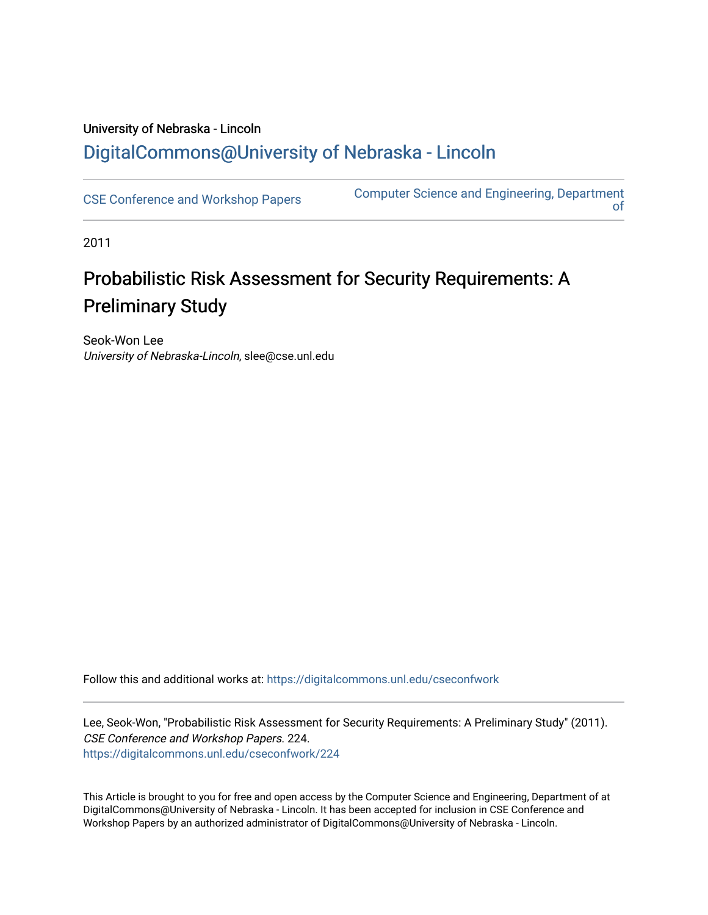### University of Nebraska - Lincoln [DigitalCommons@University of Nebraska - Lincoln](https://digitalcommons.unl.edu/)

[CSE Conference and Workshop Papers](https://digitalcommons.unl.edu/cseconfwork) Computer Science and Engineering, Department [of](https://digitalcommons.unl.edu/computerscienceandengineering) 

2011

## Probabilistic Risk Assessment for Security Requirements: A Preliminary Study

Seok-Won Lee University of Nebraska-Lincoln, slee@cse.unl.edu

Follow this and additional works at: [https://digitalcommons.unl.edu/cseconfwork](https://digitalcommons.unl.edu/cseconfwork?utm_source=digitalcommons.unl.edu%2Fcseconfwork%2F224&utm_medium=PDF&utm_campaign=PDFCoverPages) 

Lee, Seok-Won, "Probabilistic Risk Assessment for Security Requirements: A Preliminary Study" (2011). CSE Conference and Workshop Papers. 224. [https://digitalcommons.unl.edu/cseconfwork/224](https://digitalcommons.unl.edu/cseconfwork/224?utm_source=digitalcommons.unl.edu%2Fcseconfwork%2F224&utm_medium=PDF&utm_campaign=PDFCoverPages) 

This Article is brought to you for free and open access by the Computer Science and Engineering, Department of at DigitalCommons@University of Nebraska - Lincoln. It has been accepted for inclusion in CSE Conference and Workshop Papers by an authorized administrator of DigitalCommons@University of Nebraska - Lincoln.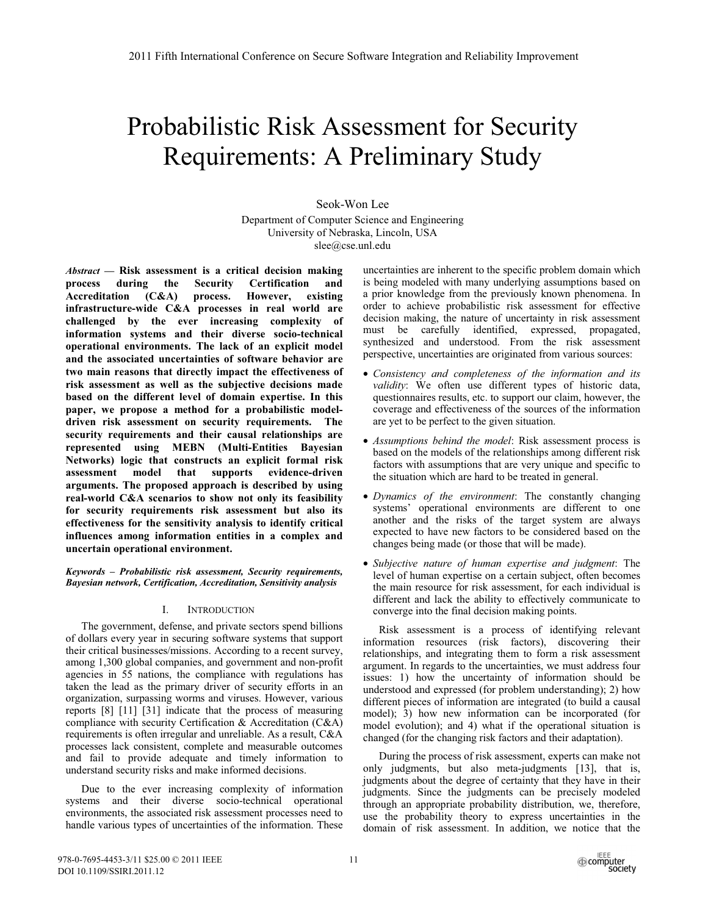# Probabilistic Risk Assessment for Security Requirements: A Preliminary Study

Seok-Won Lee Department of Computer Science and Engineering University of Nebraska, Lincoln, USA slee@cse.unl.edu

*Abstract* **— Risk assessment is a critical decision making process during the Security Certification and Accreditation (C&A) process. However, existing infrastructure-wide C&A processes in real world are challenged by the ever increasing complexity of information systems and their diverse socio-technical operational environments. The lack of an explicit model and the associated uncertainties of software behavior are two main reasons that directly impact the effectiveness of risk assessment as well as the subjective decisions made based on the different level of domain expertise. In this paper, we propose a method for a probabilistic modeldriven risk assessment on security requirements. The security requirements and their causal relationships are represented using MEBN (Multi-Entities Bayesian Networks) logic that constructs an explicit formal risk assessment model that supports evidence-driven arguments. The proposed approach is described by using real-world C&A scenarios to show not only its feasibility for security requirements risk assessment but also its effectiveness for the sensitivity analysis to identify critical influences among information entities in a complex and uncertain operational environment.** 

*Keywords – Probabilistic risk assessment, Security requirements, Bayesian network, Certification, Accreditation, Sensitivity analysis* 

#### I. INTRODUCTION

The government, defense, and private sectors spend billions of dollars every year in securing software systems that support their critical businesses/missions. According to a recent survey, among 1,300 global companies, and government and non-profit agencies in 55 nations, the compliance with regulations has taken the lead as the primary driver of security efforts in an organization, surpassing worms and viruses. However, various reports [8] [11] [31] indicate that the process of measuring compliance with security Certification & Accreditation (C&A) requirements is often irregular and unreliable. As a result, C&A processes lack consistent, complete and measurable outcomes and fail to provide adequate and timely information to understand security risks and make informed decisions.

Due to the ever increasing complexity of information systems and their diverse socio-technical operational environments, the associated risk assessment processes need to handle various types of uncertainties of the information. These

uncertainties are inherent to the specific problem domain which is being modeled with many underlying assumptions based on a prior knowledge from the previously known phenomena. In order to achieve probabilistic risk assessment for effective decision making, the nature of uncertainty in risk assessment must be carefully identified, expressed, propagated, synthesized and understood. From the risk assessment perspective, uncertainties are originated from various sources:

- *Consistency and completeness of the information and its validity*: We often use different types of historic data, questionnaires results, etc. to support our claim, however, the coverage and effectiveness of the sources of the information are yet to be perfect to the given situation.
- *Assumptions behind the model*: Risk assessment process is based on the models of the relationships among different risk factors with assumptions that are very unique and specific to the situation which are hard to be treated in general.
- *Dynamics of the environment*: The constantly changing systems' operational environments are different to one another and the risks of the target system are always expected to have new factors to be considered based on the changes being made (or those that will be made).
- *Subjective nature of human expertise and judgment*: The level of human expertise on a certain subject, often becomes the main resource for risk assessment, for each individual is different and lack the ability to effectively communicate to converge into the final decision making points.

Risk assessment is a process of identifying relevant information resources (risk factors), discovering their relationships, and integrating them to form a risk assessment argument. In regards to the uncertainties, we must address four issues: 1) how the uncertainty of information should be understood and expressed (for problem understanding); 2) how different pieces of information are integrated (to build a causal model); 3) how new information can be incorporated (for model evolution); and 4) what if the operational situation is changed (for the changing risk factors and their adaptation).

During the process of risk assessment, experts can make not only judgments, but also meta-judgments [13], that is, judgments about the degree of certainty that they have in their judgments. Since the judgments can be precisely modeled through an appropriate probability distribution, we, therefore, use the probability theory to express uncertainties in the domain of risk assessment. In addition, we notice that the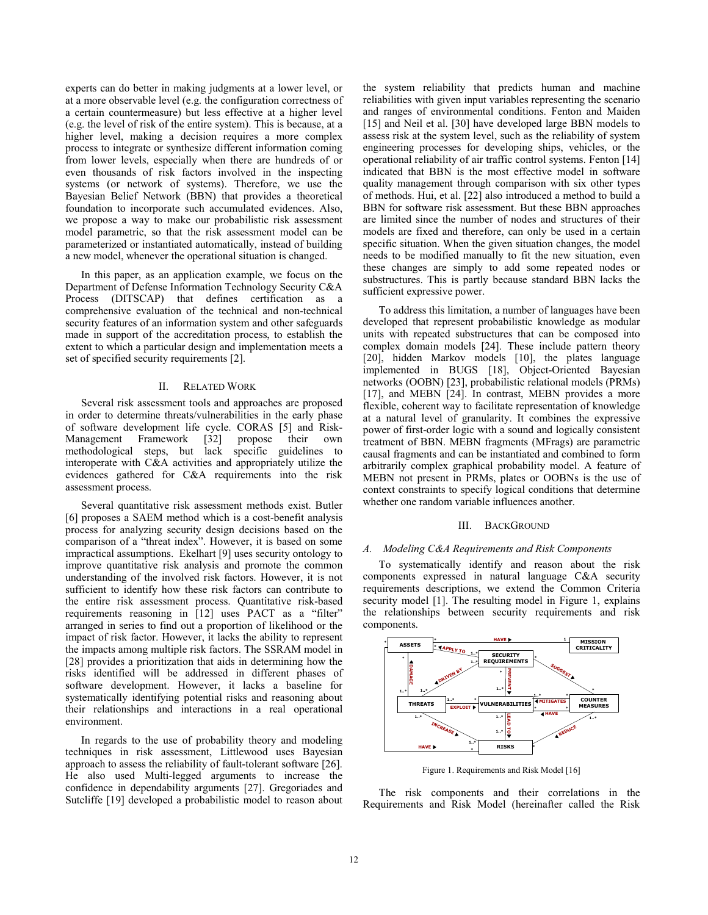experts can do better in making judgments at a lower level, or at a more observable level (e.g. the configuration correctness of a certain countermeasure) but less effective at a higher level (e.g. the level of risk of the entire system). This is because, at a higher level, making a decision requires a more complex process to integrate or synthesize different information coming from lower levels, especially when there are hundreds of or even thousands of risk factors involved in the inspecting systems (or network of systems). Therefore, we use the Bayesian Belief Network (BBN) that provides a theoretical foundation to incorporate such accumulated evidences. Also, we propose a way to make our probabilistic risk assessment model parametric, so that the risk assessment model can be parameterized or instantiated automatically, instead of building a new model, whenever the operational situation is changed.

In this paper, as an application example, we focus on the Department of Defense Information Technology Security C&A Process (DITSCAP) that defines certification as a comprehensive evaluation of the technical and non-technical security features of an information system and other safeguards made in support of the accreditation process, to establish the extent to which a particular design and implementation meets a set of specified security requirements [2].

#### II. RELATED WORK

Several risk assessment tools and approaches are proposed in order to determine threats/vulnerabilities in the early phase of software development life cycle. CORAS [5] and Risk-<br>Management Framework [32] propose their own Management Framework [32] propose their own methodological steps, but lack specific guidelines to interoperate with C&A activities and appropriately utilize the evidences gathered for C&A requirements into the risk assessment process.

Several quantitative risk assessment methods exist. Butler [6] proposes a SAEM method which is a cost-benefit analysis process for analyzing security design decisions based on the comparison of a "threat index". However, it is based on some impractical assumptions. Ekelhart [9] uses security ontology to improve quantitative risk analysis and promote the common understanding of the involved risk factors. However, it is not sufficient to identify how these risk factors can contribute to the entire risk assessment process. Quantitative risk-based requirements reasoning in [12] uses PACT as a "filter" arranged in series to find out a proportion of likelihood or the impact of risk factor. However, it lacks the ability to represent the impacts among multiple risk factors. The SSRAM model in [28] provides a prioritization that aids in determining how the risks identified will be addressed in different phases of software development. However, it lacks a baseline for systematically identifying potential risks and reasoning about their relationships and interactions in a real operational environment.

In regards to the use of probability theory and modeling techniques in risk assessment, Littlewood uses Bayesian approach to assess the reliability of fault-tolerant software [26]. He also used Multi-legged arguments to increase the confidence in dependability arguments [27]. Gregoriades and Sutcliffe [19] developed a probabilistic model to reason about

the system reliability that predicts human and machine reliabilities with given input variables representing the scenario and ranges of environmental conditions. Fenton and Maiden [15] and Neil et al. [30] have developed large BBN models to assess risk at the system level, such as the reliability of system engineering processes for developing ships, vehicles, or the operational reliability of air traffic control systems. Fenton [14] indicated that BBN is the most effective model in software quality management through comparison with six other types of methods. Hui, et al. [22] also introduced a method to build a BBN for software risk assessment. But these BBN approaches are limited since the number of nodes and structures of their models are fixed and therefore, can only be used in a certain specific situation. When the given situation changes, the model needs to be modified manually to fit the new situation, even these changes are simply to add some repeated nodes or substructures. This is partly because standard BBN lacks the sufficient expressive power.

To address this limitation, a number of languages have been developed that represent probabilistic knowledge as modular units with repeated substructures that can be composed into complex domain models [24]. These include pattern theory [20], hidden Markov models [10], the plates language implemented in BUGS [18], Object-Oriented Bayesian networks (OOBN) [23], probabilistic relational models (PRMs) [17], and MEBN [24]. In contrast, MEBN provides a more flexible, coherent way to facilitate representation of knowledge at a natural level of granularity. It combines the expressive power of first-order logic with a sound and logically consistent treatment of BBN. MEBN fragments (MFrags) are parametric causal fragments and can be instantiated and combined to form arbitrarily complex graphical probability model. A feature of MEBN not present in PRMs, plates or OOBNs is the use of context constraints to specify logical conditions that determine whether one random variable influences another.

#### III. BACKGROUND

#### *A. Modeling C&A Requirements and Risk Components*

To systematically identify and reason about the risk components expressed in natural language C&A security requirements descriptions, we extend the Common Criteria security model [1]. The resulting model in Figure 1, explains the relationships between security requirements and risk components.



Figure 1. Requirements and Risk Model [16]

The risk components and their correlations in the Requirements and Risk Model (hereinafter called the Risk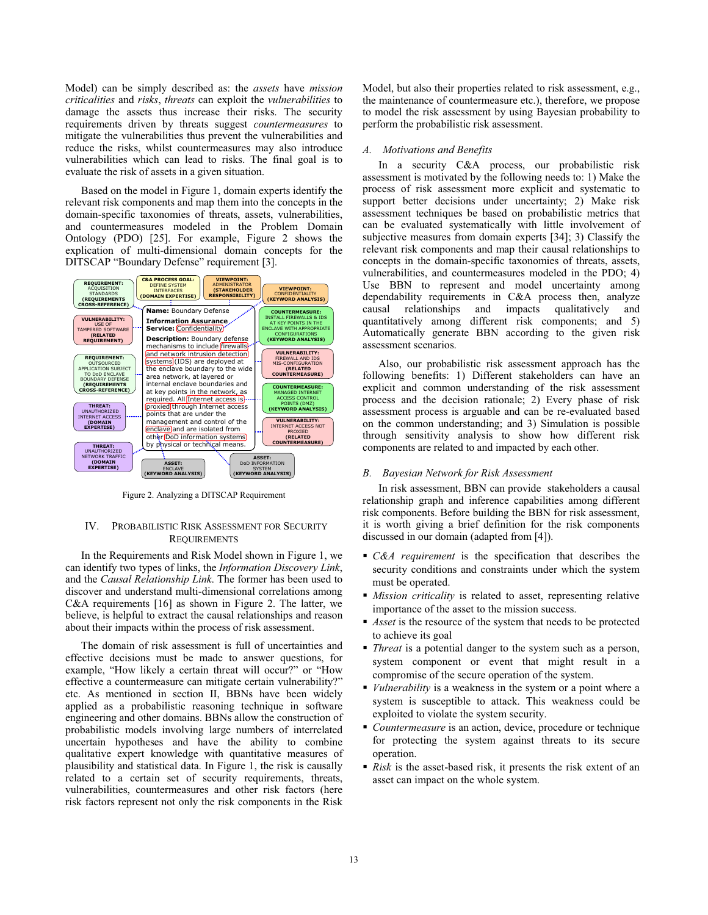Model) can be simply described as: the *assets* have *mission criticalities* and *risks*, *threats* can exploit the *vulnerabilities* to damage the assets thus increase their risks. The security requirements driven by threats suggest *countermeasures* to mitigate the vulnerabilities thus prevent the vulnerabilities and reduce the risks, whilst countermeasures may also introduce vulnerabilities which can lead to risks. The final goal is to evaluate the risk of assets in a given situation.

Based on the model in Figure 1, domain experts identify the relevant risk components and map them into the concepts in the domain-specific taxonomies of threats, assets, vulnerabilities, and countermeasures modeled in the Problem Domain Ontology (PDO) [25]. For example, Figure 2 shows the explication of multi-dimensional domain concepts for the DITSCAP "Boundary Defense" requirement [3].



Figure 2. Analyzing a DITSCAP Requirement

#### IV. PROBABILISTIC RISK ASSESSMENT FOR SECURITY REQUIREMENTS

In the Requirements and Risk Model shown in Figure 1, we can identify two types of links, the *Information Discovery Link*, and the *Causal Relationship Link*. The former has been used to discover and understand multi-dimensional correlations among C&A requirements [16] as shown in Figure 2. The latter, we believe, is helpful to extract the causal relationships and reason about their impacts within the process of risk assessment.

The domain of risk assessment is full of uncertainties and effective decisions must be made to answer questions, for example, "How likely a certain threat will occur?" or "How effective a countermeasure can mitigate certain vulnerability?" etc. As mentioned in section II, BBNs have been widely applied as a probabilistic reasoning technique in software engineering and other domains. BBNs allow the construction of probabilistic models involving large numbers of interrelated uncertain hypotheses and have the ability to combine qualitative expert knowledge with quantitative measures of plausibility and statistical data. In Figure 1, the risk is causally related to a certain set of security requirements, threats, vulnerabilities, countermeasures and other risk factors (here risk factors represent not only the risk components in the Risk

Model, but also their properties related to risk assessment, e.g., the maintenance of countermeasure etc.), therefore, we propose to model the risk assessment by using Bayesian probability to perform the probabilistic risk assessment.

#### *A. Motivations and Benefits*

In a security C&A process, our probabilistic risk assessment is motivated by the following needs to: 1) Make the process of risk assessment more explicit and systematic to support better decisions under uncertainty; 2) Make risk assessment techniques be based on probabilistic metrics that can be evaluated systematically with little involvement of subjective measures from domain experts [34]; 3) Classify the relevant risk components and map their causal relationships to concepts in the domain-specific taxonomies of threats, assets, vulnerabilities, and countermeasures modeled in the PDO; 4) Use BBN to represent and model uncertainty among dependability requirements in C&A process then, analyze causal relationships and impacts qualitatively and quantitatively among different risk components; and 5) Automatically generate BBN according to the given risk assessment scenarios.

Also, our probabilistic risk assessment approach has the following benefits: 1) Different stakeholders can have an explicit and common understanding of the risk assessment process and the decision rationale; 2) Every phase of risk assessment process is arguable and can be re-evaluated based on the common understanding; and 3) Simulation is possible through sensitivity analysis to show how different risk components are related to and impacted by each other.

#### *B. Bayesian Network for Risk Assessment*

In risk assessment, BBN can provide stakeholders a causal relationship graph and inference capabilities among different risk components. Before building the BBN for risk assessment, it is worth giving a brief definition for the risk components discussed in our domain (adapted from [4]).

- *C&A requirement* is the specification that describes the security conditions and constraints under which the system must be operated.
- $\blacksquare$  *Mission criticality* is related to asset, representing relative importance of the asset to the mission success.
- - *Asset* is the resource of the system that needs to be protected to achieve its goal
- *Threat* is a potential danger to the system such as a person, system component or event that might result in a compromise of the secure operation of the system.
- *Vulnerability* is a weakness in the system or a point where a system is susceptible to attack. This weakness could be exploited to violate the system security.
- *Countermeasure* is an action, device, procedure or technique for protecting the system against threats to its secure operation.
- Risk is the asset-based risk, it presents the risk extent of an asset can impact on the whole system.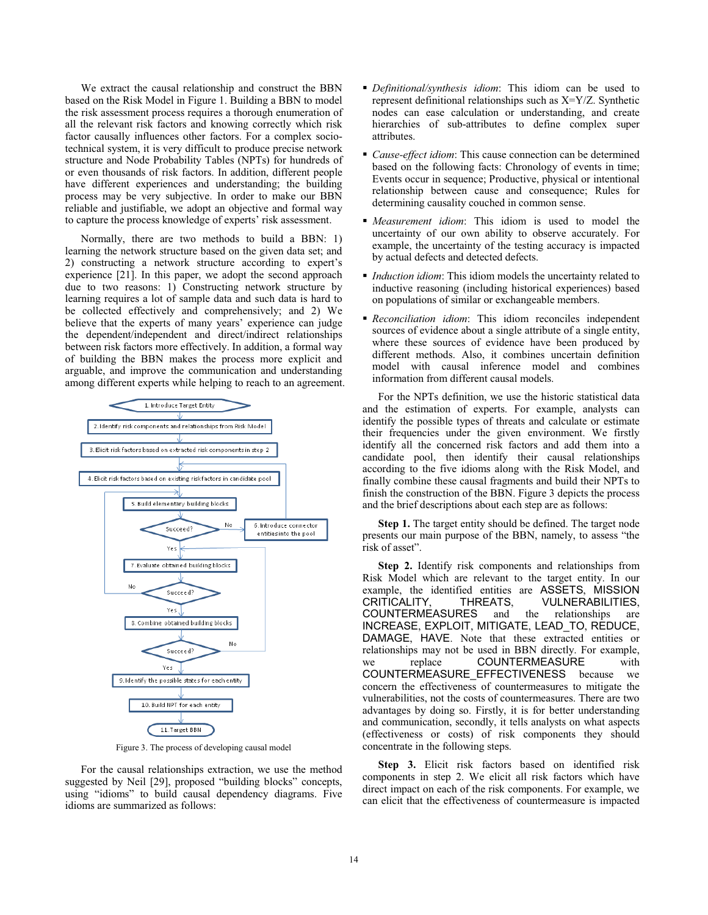We extract the causal relationship and construct the BBN based on the Risk Model in Figure 1. Building a BBN to model the risk assessment process requires a thorough enumeration of all the relevant risk factors and knowing correctly which risk factor causally influences other factors. For a complex sociotechnical system, it is very difficult to produce precise network structure and Node Probability Tables (NPTs) for hundreds of or even thousands of risk factors. In addition, different people have different experiences and understanding; the building process may be very subjective. In order to make our BBN reliable and justifiable, we adopt an objective and formal way to capture the process knowledge of experts' risk assessment.

Normally, there are two methods to build a BBN: 1) learning the network structure based on the given data set; and 2) constructing a network structure according to expert's experience [21]. In this paper, we adopt the second approach due to two reasons: 1) Constructing network structure by learning requires a lot of sample data and such data is hard to be collected effectively and comprehensively; and 2) We believe that the experts of many years' experience can judge the dependent/independent and direct/indirect relationships between risk factors more effectively. In addition, a formal way of building the BBN makes the process more explicit and arguable, and improve the communication and understanding among different experts while helping to reach to an agreement.



Figure 3. The process of developing causal model

For the causal relationships extraction, we use the method suggested by Neil [29], proposed "building blocks" concepts, using "idioms" to build causal dependency diagrams. Five idioms are summarized as follows:

- *Definitional/synthesis idiom*: This idiom can be used to represent definitional relationships such as X=Y/Z. Synthetic nodes can ease calculation or understanding, and create hierarchies of sub-attributes to define complex super attributes.
- *Cause-effect idiom*: This cause connection can be determined based on the following facts: Chronology of events in time; Events occur in sequence; Productive, physical or intentional relationship between cause and consequence; Rules for determining causality couched in common sense.
- $\blacksquare$  *Measurement idiom*: This idiom is used to model the uncertainty of our own ability to observe accurately. For example, the uncertainty of the testing accuracy is impacted by actual defects and detected defects.
- $\blacksquare$  *Induction idiom*: This idiom models the uncertainty related to inductive reasoning (including historical experiences) based on populations of similar or exchangeable members.
- *Reconciliation idiom*: This idiom reconciles independent sources of evidence about a single attribute of a single entity, where these sources of evidence have been produced by different methods. Also, it combines uncertain definition model with causal inference model and combines information from different causal models.

For the NPTs definition, we use the historic statistical data and the estimation of experts. For example, analysts can identify the possible types of threats and calculate or estimate their frequencies under the given environment. We firstly identify all the concerned risk factors and add them into a candidate pool, then identify their causal relationships according to the five idioms along with the Risk Model, and finally combine these causal fragments and build their NPTs to finish the construction of the BBN. Figure 3 depicts the process and the brief descriptions about each step are as follows:

**Step 1.** The target entity should be defined. The target node presents our main purpose of the BBN, namely, to assess "the risk of asset".

**Step 2.** Identify risk components and relationships from Risk Model which are relevant to the target entity. In our example, the identified entities are ASSETS, MISSION<br>CRITICALITY. THREATS. VULNERABILITIES. VULNERABILITIES, COUNTERMEASURES and the relationships are INCREASE, EXPLOIT, MITIGATE, LEAD\_TO, REDUCE, DAMAGE, HAVE. Note that these extracted entities or relationships may not be used in BBN directly. For example, we replace COUNTERMEASURE with COUNTERMEASURE\_EFFECTIVENESS because we concern the effectiveness of countermeasures to mitigate the vulnerabilities, not the costs of countermeasures. There are two advantages by doing so. Firstly, it is for better understanding and communication, secondly, it tells analysts on what aspects (effectiveness or costs) of risk components they should concentrate in the following steps.

**Step 3.** Elicit risk factors based on identified risk components in step 2. We elicit all risk factors which have direct impact on each of the risk components. For example, we can elicit that the effectiveness of countermeasure is impacted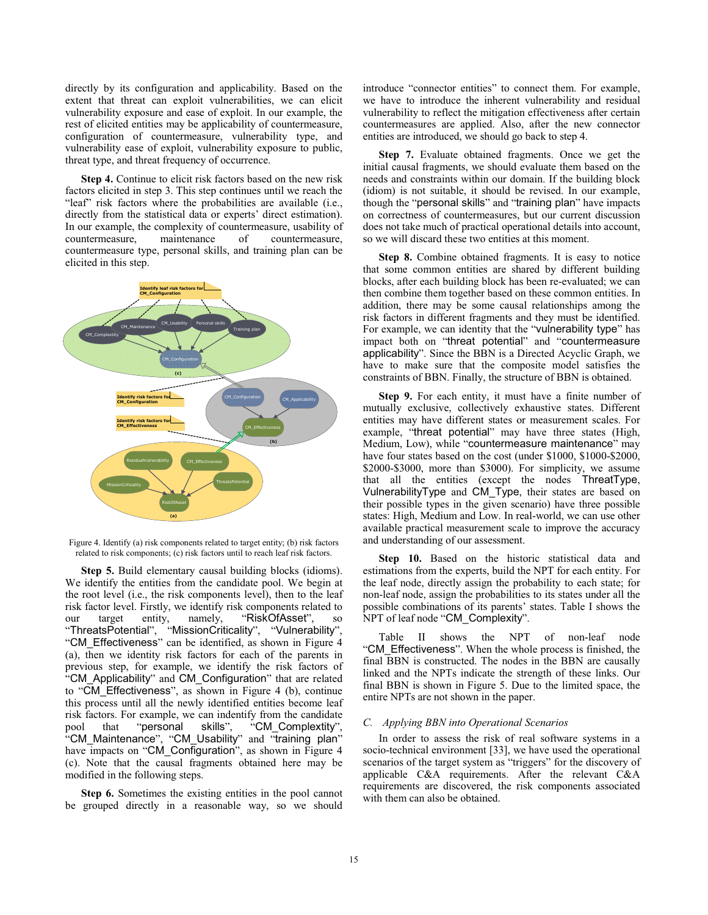directly by its configuration and applicability. Based on the extent that threat can exploit vulnerabilities, we can elicit vulnerability exposure and ease of exploit. In our example, the rest of elicited entities may be applicability of countermeasure, configuration of countermeasure, vulnerability type, and vulnerability ease of exploit, vulnerability exposure to public, threat type, and threat frequency of occurrence.

**Step 4.** Continue to elicit risk factors based on the new risk factors elicited in step 3. This step continues until we reach the "leaf" risk factors where the probabilities are available (i.e., directly from the statistical data or experts' direct estimation). In our example, the complexity of countermeasure, usability of countermeasure, maintenance of countermeasure, countermeasure type, personal skills, and training plan can be elicited in this step.



Figure 4. Identify (a) risk components related to target entity; (b) risk factors related to risk components; (c) risk factors until to reach leaf risk factors.

**Step 5.** Build elementary causal building blocks (idioms). We identify the entities from the candidate pool. We begin at the root level (i.e., the risk components level), then to the leaf risk factor level. Firstly, we identify risk components related to<br>our target entity, namely, "RiskOfAsset", so our target entity, namely, "RiskOfAsset", so "ThreatsPotential", "MissionCriticality", "Vulnerability", "CM\_Effectiveness" can be identified, as shown in Figure 4 (a), then we identity risk factors for each of the parents in previous step, for example, we identify the risk factors of "CM\_Applicability" and CM\_Configuration" that are related to "CM\_Effectiveness", as shown in Figure 4 (b), continue this process until all the newly identified entities become leaf risk factors. For example, we can indentify from the candidate<br>pool that "personal skills", "CM\_Complextity", "CM\_Complextity", "CM\_Maintenance", "CM\_Usability" and "training plan" have impacts on "CM\_Configuration", as shown in Figure 4 (c). Note that the causal fragments obtained here may be modified in the following steps.

**Step 6.** Sometimes the existing entities in the pool cannot be grouped directly in a reasonable way, so we should

introduce "connector entities" to connect them. For example, we have to introduce the inherent vulnerability and residual vulnerability to reflect the mitigation effectiveness after certain countermeasures are applied. Also, after the new connector entities are introduced, we should go back to step 4.

**Step 7.** Evaluate obtained fragments. Once we get the initial causal fragments, we should evaluate them based on the needs and constraints within our domain. If the building block (idiom) is not suitable, it should be revised. In our example, though the "personal skills" and "training plan" have impacts on correctness of countermeasures, but our current discussion does not take much of practical operational details into account, so we will discard these two entities at this moment.

**Step 8.** Combine obtained fragments. It is easy to notice that some common entities are shared by different building blocks, after each building block has been re-evaluated; we can then combine them together based on these common entities. In addition, there may be some causal relationships among the risk factors in different fragments and they must be identified. For example, we can identity that the "vulnerability type" has impact both on "threat potential" and "countermeasure applicability". Since the BBN is a Directed Acyclic Graph, we have to make sure that the composite model satisfies the constraints of BBN. Finally, the structure of BBN is obtained.

**Step 9.** For each entity, it must have a finite number of mutually exclusive, collectively exhaustive states. Different entities may have different states or measurement scales. For example, "threat potential" may have three states (High, Medium, Low), while "countermeasure maintenance" may have four states based on the cost (under \$1000, \$1000-\$2000, \$2000-\$3000, more than \$3000). For simplicity, we assume that all the entities (except the nodes ThreatType, VulnerabilityType and CM\_Type, their states are based on their possible types in the given scenario) have three possible states: High, Medium and Low. In real-world, we can use other available practical measurement scale to improve the accuracy and understanding of our assessment.

**Step 10.** Based on the historic statistical data and estimations from the experts, build the NPT for each entity. For the leaf node, directly assign the probability to each state; for non-leaf node, assign the probabilities to its states under all the possible combinations of its parents' states. Table I shows the NPT of leaf node "CM\_Complexity".

Table II shows the NPT of non-leaf node "CM\_Effectiveness". When the whole process is finished, the final BBN is constructed. The nodes in the BBN are causally linked and the NPTs indicate the strength of these links. Our final BBN is shown in Figure 5. Due to the limited space, the entire NPTs are not shown in the paper.

#### *C. Applying BBN into Operational Scenarios*

In order to assess the risk of real software systems in a socio-technical environment [33], we have used the operational scenarios of the target system as "triggers" for the discovery of applicable C&A requirements. After the relevant C&A requirements are discovered, the risk components associated with them can also be obtained.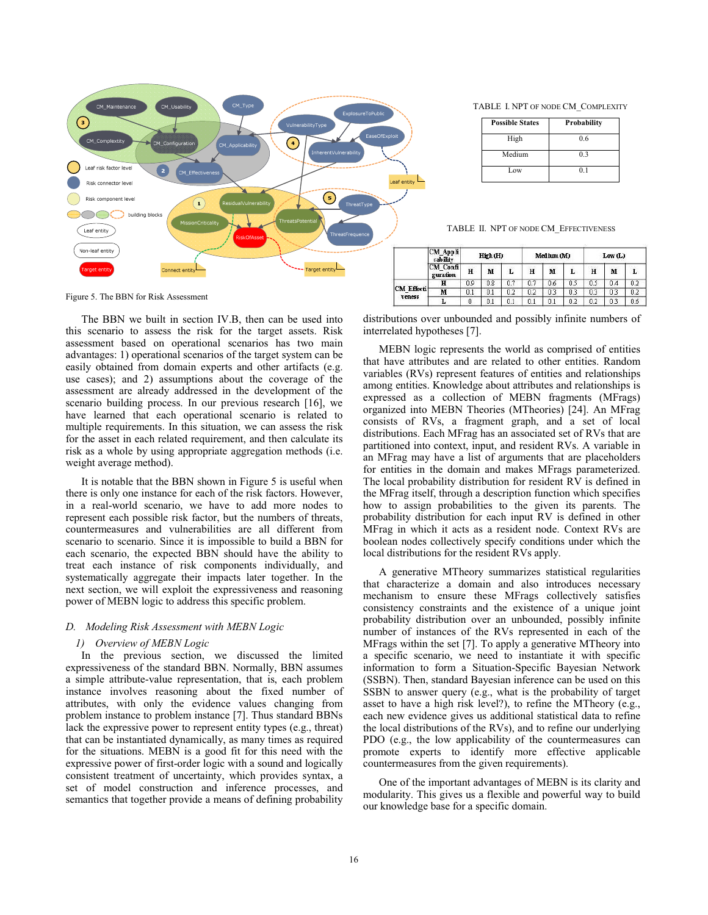

Figure 5. The BBN for Risk Assessment

The BBN we built in section IV.B, then can be used into this scenario to assess the risk for the target assets. Risk assessment based on operational scenarios has two main advantages: 1) operational scenarios of the target system can be easily obtained from domain experts and other artifacts (e.g. use cases); and 2) assumptions about the coverage of the assessment are already addressed in the development of the scenario building process. In our previous research [16], we have learned that each operational scenario is related to multiple requirements. In this situation, we can assess the risk for the asset in each related requirement, and then calculate its risk as a whole by using appropriate aggregation methods (i.e. weight average method).

It is notable that the BBN shown in Figure 5 is useful when there is only one instance for each of the risk factors. However, in a real-world scenario, we have to add more nodes to represent each possible risk factor, but the numbers of threats, countermeasures and vulnerabilities are all different from scenario to scenario. Since it is impossible to build a BBN for each scenario, the expected BBN should have the ability to treat each instance of risk components individually, and systematically aggregate their impacts later together. In the next section, we will exploit the expressiveness and reasoning power of MEBN logic to address this specific problem.

#### *D. Modeling Risk Assessment with MEBN Logic*

#### *1) Overview of MEBN Logic*

In the previous section, we discussed the limited expressiveness of the standard BBN. Normally, BBN assumes a simple attribute-value representation, that is, each problem instance involves reasoning about the fixed number of attributes, with only the evidence values changing from problem instance to problem instance [7]. Thus standard BBNs lack the expressive power to represent entity types (e.g., threat) that can be instantiated dynamically, as many times as required for the situations. MEBN is a good fit for this need with the expressive power of first-order logic with a sound and logically consistent treatment of uncertainty, which provides syntax, a set of model construction and inference processes, and semantics that together provide a means of defining probability

TABLE I. NPT OF NODE CM\_COMPLEXITY

| <b>Possible States</b> | Probability    |
|------------------------|----------------|
| High                   | 0.6            |
| Medium                 | 0.3            |
| Low                    | 0 <sub>1</sub> |

TABLE II. NPT OF NODE CM\_EFFECTIVENESS

|            | CM Appli<br>cab ility<br>CM Confi<br>guration | High (H) |     |     | Medium (M) |     |     | Low (L) |     |     |
|------------|-----------------------------------------------|----------|-----|-----|------------|-----|-----|---------|-----|-----|
|            |                                               | H        | м   | L   | H          | м   | L   | н       | м   | L   |
|            | н                                             | 0.9      | 0.8 | 0.7 | 0.7        | 0.6 | 0.5 | 0.5     | 0.4 | 0.2 |
| CM Effecti | M                                             | 0.1      | 0.1 | 0.2 | 0.2        | 0.3 | 0.3 | 0.3     | 0.3 | 0.2 |
| veness     | L                                             | Ũ        | 0.1 | 0.1 | 0.1        | 0.1 | 0.2 | 0.2     | 0.3 | 0.6 |

distributions over unbounded and possibly infinite numbers of interrelated hypotheses [7].

MEBN logic represents the world as comprised of entities that have attributes and are related to other entities. Random variables (RVs) represent features of entities and relationships among entities. Knowledge about attributes and relationships is expressed as a collection of MEBN fragments (MFrags) organized into MEBN Theories (MTheories) [24]. An MFrag consists of RVs, a fragment graph, and a set of local distributions. Each MFrag has an associated set of RVs that are partitioned into context, input, and resident RVs. A variable in an MFrag may have a list of arguments that are placeholders for entities in the domain and makes MFrags parameterized. The local probability distribution for resident RV is defined in the MFrag itself, through a description function which specifies how to assign probabilities to the given its parents. The probability distribution for each input RV is defined in other MFrag in which it acts as a resident node. Context RVs are boolean nodes collectively specify conditions under which the local distributions for the resident RVs apply.

A generative MTheory summarizes statistical regularities that characterize a domain and also introduces necessary mechanism to ensure these MFrags collectively satisfies consistency constraints and the existence of a unique joint probability distribution over an unbounded, possibly infinite number of instances of the RVs represented in each of the MFrags within the set [7]. To apply a generative MTheory into a specific scenario, we need to instantiate it with specific information to form a Situation-Specific Bayesian Network (SSBN). Then, standard Bayesian inference can be used on this SSBN to answer query (e.g., what is the probability of target asset to have a high risk level?), to refine the MTheory (e.g., each new evidence gives us additional statistical data to refine the local distributions of the RVs), and to refine our underlying PDO (e.g., the low applicability of the countermeasures can promote experts to identify more effective applicable countermeasures from the given requirements).

One of the important advantages of MEBN is its clarity and modularity. This gives us a flexible and powerful way to build our knowledge base for a specific domain.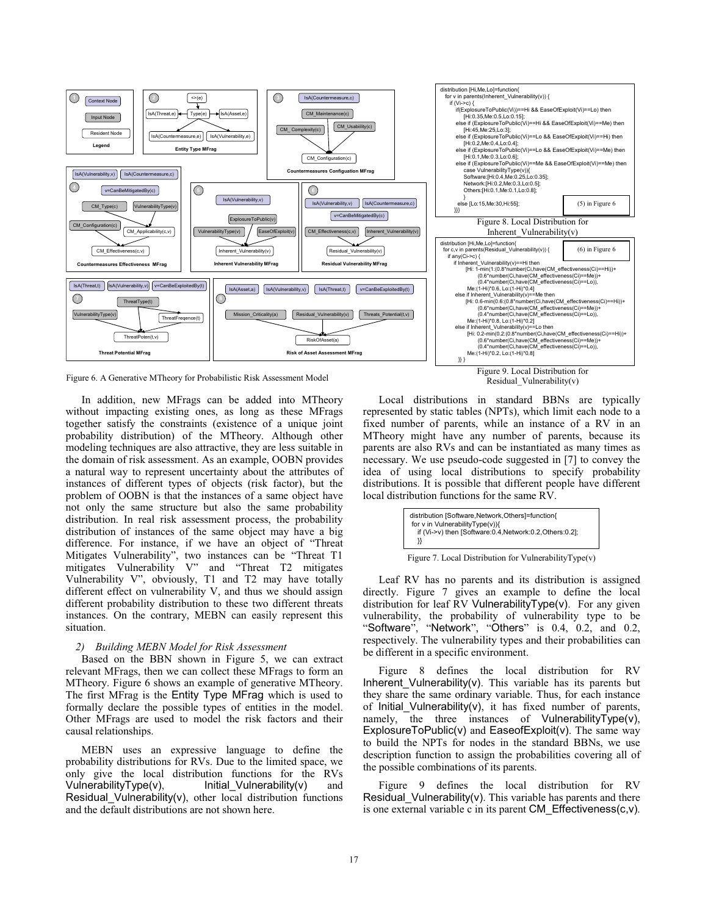

Figure 6. A Generative MTheory for Probabilistic Risk Assessment Model

In addition, new MFrags can be added into MTheory without impacting existing ones, as long as these MFrags together satisfy the constraints (existence of a unique joint probability distribution) of the MTheory. Although other modeling techniques are also attractive, they are less suitable in the domain of risk assessment. As an example, OOBN provides a natural way to represent uncertainty about the attributes of instances of different types of objects (risk factor), but the problem of OOBN is that the instances of a same object have not only the same structure but also the same probability distribution. In real risk assessment process, the probability distribution of instances of the same object may have a big difference. For instance, if we have an object of "Threat Mitigates Vulnerability", two instances can be "Threat T1 mitigates Vulnerability V" and "Threat T2 mitigates Vulnerability V", obviously, T1 and T2 may have totally different effect on vulnerability V, and thus we should assign different probability distribution to these two different threats instances. On the contrary, MEBN can easily represent this situation.

#### *2) Building MEBN Model for Risk Assessment*

Based on the BBN shown in Figure 5, we can extract relevant MFrags, then we can collect these MFrags to form an MTheory. Figure 6 shows an example of generative MTheory. The first MFrag is the Entity Type MFrag which is used to formally declare the possible types of entities in the model. Other MFrags are used to model the risk factors and their causal relationships.

MEBN uses an expressive language to define the probability distributions for RVs. Due to the limited space, we only give the local distribution functions for the RVs<br>VulnerabilityType(v), limitial Vulnerability(v) and Initial Vulnerability(v) and Residual Vulnerability(v), other local distribution functions and the default distributions are not shown here.

Figure 9. Local Distribution for Residual\_Vulnerability(v)

Local distributions in standard BBNs are typically represented by static tables (NPTs), which limit each node to a fixed number of parents, while an instance of a RV in an MTheory might have any number of parents, because its parents are also RVs and can be instantiated as many times as necessary. We use pseudo-code suggested in [7] to convey the idea of using local distributions to specify probability distributions. It is possible that different people have different local distribution functions for the same RV.

| distribution [Software, Network, Others]=function{<br>for v in VulnerabilityType(v)){ |  |
|---------------------------------------------------------------------------------------|--|
| if (Vi->v) then [Software:0.4, Network:0.2, Others:0.2];<br>}}                        |  |

Figure 7. Local Distribution for VulnerabilityType(v)

Leaf RV has no parents and its distribution is assigned directly. Figure 7 gives an example to define the local distribution for leaf RV VulnerabilityType(v). For any given vulnerability, the probability of vulnerability type to be "Software", "Network", "Others" is 0.4, 0.2, and 0.2, respectively. The vulnerability types and their probabilities can be different in a specific environment.

Figure 8 defines the local distribution for RV Inherent Vulnerability(v). This variable has its parents but they share the same ordinary variable. Thus, for each instance of Initial Vulnerability(v), it has fixed number of parents, namely, the three instances of Vulnerability $\overline{T}$ ype $(v)$ , ExplosureToPublic(v) and EaseofExploit(v). The same way to build the NPTs for nodes in the standard BBNs, we use description function to assign the probabilities covering all of the possible combinations of its parents.

Figure 9 defines the local distribution for RV Residual Vulnerability(v). This variable has parents and there is one external variable c in its parent  $CM$  Effectiveness(c,v).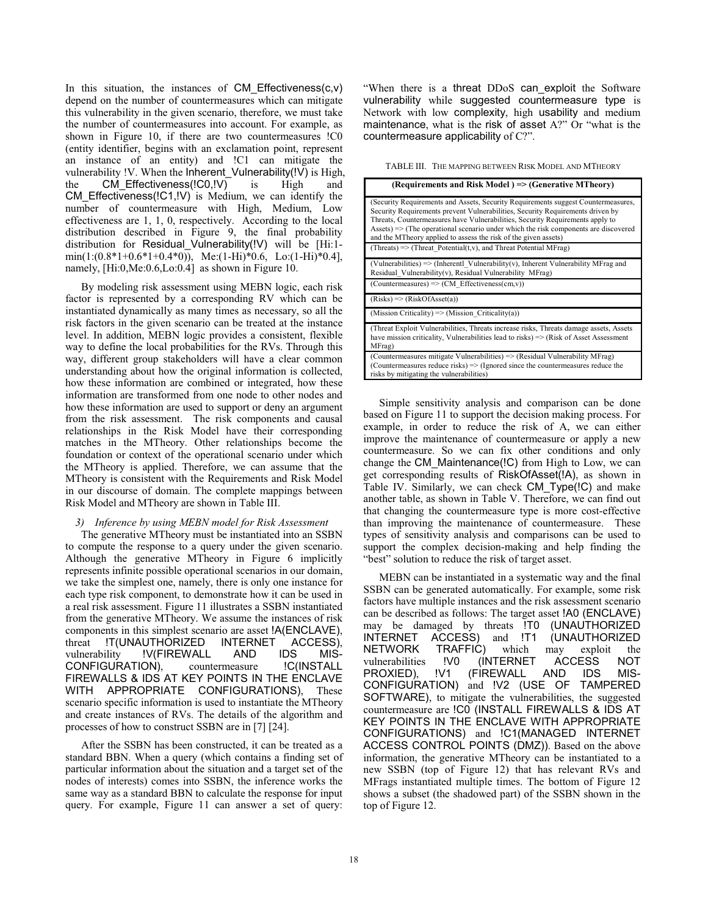In this situation, the instances of  $CM$  Effectiveness $(c,v)$ depend on the number of countermeasures which can mitigate this vulnerability in the given scenario, therefore, we must take the number of countermeasures into account. For example, as shown in Figure 10, if there are two countermeasures !C0 (entity identifier, begins with an exclamation point, represent an instance of an entity) and !C1 can mitigate the vulnerability !V. When the Inherent\_Vulnerability(!V) is High, the CM\_Effectiveness(!C0,!V) is High and CM\_Effectiveness(!C1,!V) is Medium, we can identify the number of countermeasure with High, Medium, Low effectiveness are 1, 1, 0, respectively. According to the local distribution described in Figure 9, the final probability distribution for Residual\_Vulnerability(!V) will be [Hi:1min(1:(0.8\*1+0.6\*1+0.4\*0)), Me:(1-Hi)\*0.6, Lo:(1-Hi)\*0.4], namely, [Hi:0,Me:0.6,Lo:0.4] as shown in Figure 10.

By modeling risk assessment using MEBN logic, each risk factor is represented by a corresponding RV which can be instantiated dynamically as many times as necessary, so all the risk factors in the given scenario can be treated at the instance level. In addition, MEBN logic provides a consistent, flexible way to define the local probabilities for the RVs. Through this way, different group stakeholders will have a clear common understanding about how the original information is collected, how these information are combined or integrated, how these information are transformed from one node to other nodes and how these information are used to support or deny an argument from the risk assessment. The risk components and causal relationships in the Risk Model have their corresponding matches in the MTheory. Other relationships become the foundation or context of the operational scenario under which the MTheory is applied. Therefore, we can assume that the MTheory is consistent with the Requirements and Risk Model in our discourse of domain. The complete mappings between Risk Model and MTheory are shown in Table III.

#### *3) Inference by using MEBN model for Risk Assessment*

The generative MTheory must be instantiated into an SSBN to compute the response to a query under the given scenario. Although the generative MTheory in Figure 6 implicitly represents infinite possible operational scenarios in our domain, we take the simplest one, namely, there is only one instance for each type risk component, to demonstrate how it can be used in a real risk assessment. Figure 11 illustrates a SSBN instantiated from the generative MTheory. We assume the instances of risk components in this simplest scenario are asset !A(ENCLAVE), threat !T(UNAUTHORIZED INTERNET ACCESS), vulnerability !V(FIREWALL AND IDS MIS-<br>CONFIGURATION), countermeasure !C(INSTALL CONFIGURATION), countermeasure FIREWALLS & IDS AT KEY POINTS IN THE ENCLAVE WITH APPROPRIATE CONFIGURATIONS), These scenario specific information is used to instantiate the MTheory and create instances of RVs. The details of the algorithm and processes of how to construct SSBN are in [7] [24].

After the SSBN has been constructed, it can be treated as a standard BBN. When a query (which contains a finding set of particular information about the situation and a target set of the nodes of interests) comes into SSBN, the inference works the same way as a standard BBN to calculate the response for input query. For example, Figure 11 can answer a set of query: "When there is a threat DDoS can\_exploit the Software vulnerability while suggested countermeasure type is Network with low complexity, high usability and medium maintenance, what is the risk of asset A?" Or "what is the countermeasure applicability of C?".

TABLE III. THE MAPPING BETWEEN RISK MODEL AND MTHEORY

| (Requirements and Risk Model) => (Generative MTheory)                                                                                                                                                                                                                                                                                                                                                                     |
|---------------------------------------------------------------------------------------------------------------------------------------------------------------------------------------------------------------------------------------------------------------------------------------------------------------------------------------------------------------------------------------------------------------------------|
| (Security Requirements and Assets, Security Requirements suggest Countermeasures,<br>Security Requirements prevent Vulnerabilities, Security Requirements driven by<br>Threats, Countermeasures have Vulnerabilities, Security Requirements apply to<br>Assets) $\Rightarrow$ (The operational scenario under which the risk components are discovered<br>and the MTheory applied to assess the risk of the given assets) |
| (Threats) => (Threat Potential $(t, v)$ , and Threat Potential MFrag)                                                                                                                                                                                                                                                                                                                                                     |
| (Vulnerabilities) => (Inherentl Vulnerability(v), Inherent Vulnerability MFrag and<br>Residual Vulnerability(v), Residual Vulnerability MFrag)                                                                                                                                                                                                                                                                            |
| (Countermeasures) $\Rightarrow$ (CM Effectiveness(cm,v))                                                                                                                                                                                                                                                                                                                                                                  |
| $(Risks) \Rightarrow (RiskOf Asset(a))$                                                                                                                                                                                                                                                                                                                                                                                   |
| (Mission Criticality) => (Mission Criticality(a))                                                                                                                                                                                                                                                                                                                                                                         |
| (Threat Exploit Vulnerabilities, Threats increase risks, Threats damage assets, Assets)<br>have mission criticality, Vulnerabilities lead to risks) $\Rightarrow$ (Risk of Asset Assessment<br>MFrag)                                                                                                                                                                                                                     |
| (Countermeasures mitigate Vulnerabilities) => (Residual Vulnerability MFrag)<br>(Countermeasures reduce risks) $\Rightarrow$ (Ignored since the countermeasures reduce the<br>risks by mitigating the vulnerabilities)                                                                                                                                                                                                    |

Simple sensitivity analysis and comparison can be done based on Figure 11 to support the decision making process. For example, in order to reduce the risk of A, we can either improve the maintenance of countermeasure or apply a new countermeasure. So we can fix other conditions and only change the CM\_Maintenance(!C) from High to Low, we can get corresponding results of RiskOfAsset(!A), as shown in Table IV. Similarly, we can check CM\_Type(!C) and make another table, as shown in Table V. Therefore, we can find out that changing the countermeasure type is more cost-effective than improving the maintenance of countermeasure. These types of sensitivity analysis and comparisons can be used to support the complex decision-making and help finding the "best" solution to reduce the risk of target asset.

MEBN can be instantiated in a systematic way and the final SSBN can be generated automatically. For example, some risk factors have multiple instances and the risk assessment scenario can be described as follows: The target asset !A0 (ENCLAVE) may be damaged by threats !T0 (UNAUTHORIZED INTERNET ACCESS) and !T1 (UNAUTHORIZED NETWORK TRAFFIC) which may exploit the vulnerabilities !V0 (INTERNET ACCESS NOT<br>PROXIED), !V1 (FIREWALL AND IDS MIS-!V1 (FIREWALL AND IDS MIS-CONFIGURATION) and !V2 (USE OF TAMPERED SOFTWARE), to mitigate the vulnerabilities, the suggested countermeasure are !C0 (INSTALL FIREWALLS & IDS AT KEY POINTS IN THE ENCLAVE WITH APPROPRIATE CONFIGURATIONS) and !C1(MANAGED INTERNET ACCESS CONTROL POINTS (DMZ)). Based on the above information, the generative MTheory can be instantiated to a new SSBN (top of Figure 12) that has relevant RVs and MFrags instantiated multiple times. The bottom of Figure 12 shows a subset (the shadowed part) of the SSBN shown in the top of Figure 12.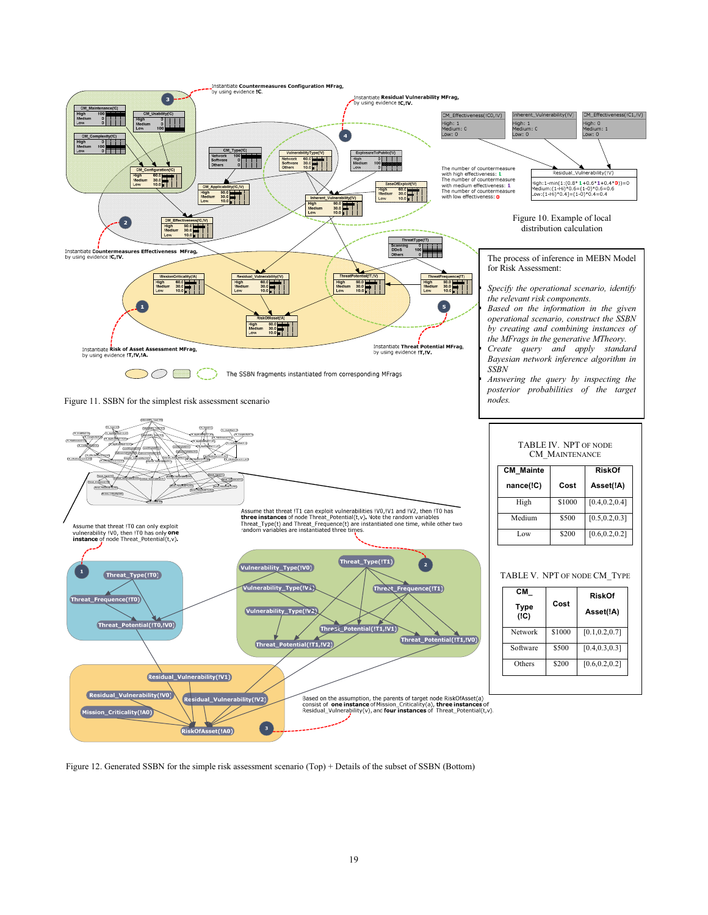

Figure 12. Generated SSBN for the simple risk assessment scenario (Top) + Details of the subset of SSBN (Bottom)